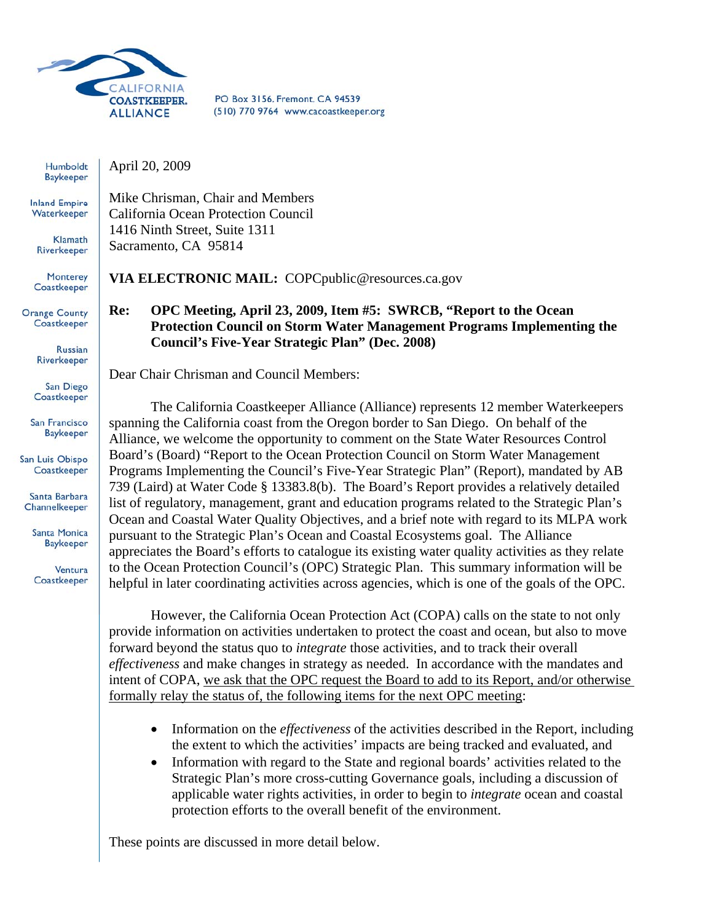

PO Box 3156, Fremont, CA 94539 (510) 770 9764 www.cacoastkeeper.org

Humboldt **Baykeeper** 

**Inland Empire** Waterkeeper

Klamath Riverkeeper

Monterey Coastkeeper

**Orange County** Coastkeeper

> **Russian** Riverkeeper

San Diego Coastkeeper

San Francisco **Baykeeper** 

San Luis Obispo Coastkeeper

Santa Barbara Channelkeeper

Santa Monica **Baykeeper** 

Ventura Coastkeeper April 20, 2009

Mike Chrisman, Chair and Members California Ocean Protection Council 1416 Ninth Street, Suite 1311 Sacramento, CA 95814

**VIA ELECTRONIC MAIL:** COPCpublic@resources.ca.gov

**Re: OPC Meeting, April 23, 2009, Item #5: SWRCB, "Report to the Ocean Protection Council on Storm Water Management Programs Implementing the Council's Five-Year Strategic Plan" (Dec. 2008)** 

Dear Chair Chrisman and Council Members:

 The California Coastkeeper Alliance (Alliance) represents 12 member Waterkeepers spanning the California coast from the Oregon border to San Diego. On behalf of the Alliance, we welcome the opportunity to comment on the State Water Resources Control Board's (Board) "Report to the Ocean Protection Council on Storm Water Management Programs Implementing the Council's Five-Year Strategic Plan" (Report), mandated by AB 739 (Laird) at Water Code § 13383.8(b). The Board's Report provides a relatively detailed list of regulatory, management, grant and education programs related to the Strategic Plan's Ocean and Coastal Water Quality Objectives, and a brief note with regard to its MLPA work pursuant to the Strategic Plan's Ocean and Coastal Ecosystems goal. The Alliance appreciates the Board's efforts to catalogue its existing water quality activities as they relate to the Ocean Protection Council's (OPC) Strategic Plan. This summary information will be helpful in later coordinating activities across agencies, which is one of the goals of the OPC.

However, the California Ocean Protection Act (COPA) calls on the state to not only provide information on activities undertaken to protect the coast and ocean, but also to move forward beyond the status quo to *integrate* those activities, and to track their overall *effectiveness* and make changes in strategy as needed. In accordance with the mandates and intent of COPA, we ask that the OPC request the Board to add to its Report, and/or otherwise formally relay the status of, the following items for the next OPC meeting:

- Information on the *effectiveness* of the activities described in the Report, including the extent to which the activities' impacts are being tracked and evaluated, and
- Information with regard to the State and regional boards' activities related to the Strategic Plan's more cross-cutting Governance goals, including a discussion of applicable water rights activities, in order to begin to *integrate* ocean and coastal protection efforts to the overall benefit of the environment.

These points are discussed in more detail below.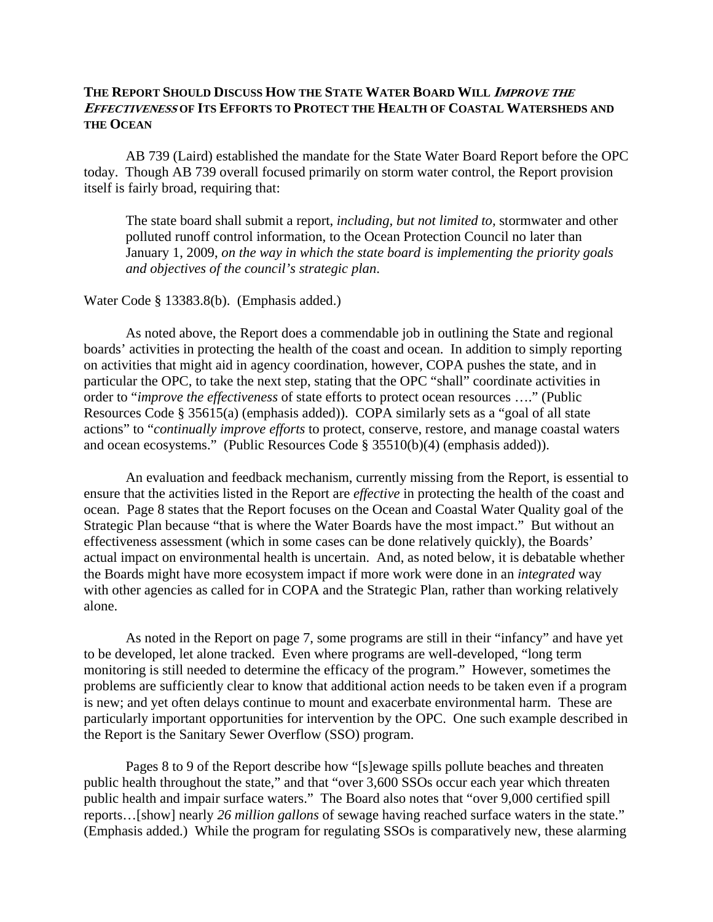## **THE REPORT SHOULD DISCUSS HOW THE STATE WATER BOARD WILL <sup>I</sup>MPROVE THE <sup>E</sup>FFECTIVENESS OF ITS EFFORTS TO PROTECT THE HEALTH OF COASTAL WATERSHEDS AND THE OCEAN**

AB 739 (Laird) established the mandate for the State Water Board Report before the OPC today. Though AB 739 overall focused primarily on storm water control, the Report provision itself is fairly broad, requiring that:

The state board shall submit a report, *including, but not limited to,* stormwater and other polluted runoff control information, to the Ocean Protection Council no later than January 1, 2009, *on the way in which the state board is implementing the priority goals and objectives of the council's strategic plan*.

#### Water Code § 13383.8(b). (Emphasis added.)

As noted above, the Report does a commendable job in outlining the State and regional boards' activities in protecting the health of the coast and ocean. In addition to simply reporting on activities that might aid in agency coordination, however, COPA pushes the state, and in particular the OPC, to take the next step, stating that the OPC "shall" coordinate activities in order to "*improve the effectiveness* of state efforts to protect ocean resources …." (Public Resources Code § 35615(a) (emphasis added)). COPA similarly sets as a "goal of all state actions" to "*continually improve efforts* to protect, conserve, restore, and manage coastal waters and ocean ecosystems." (Public Resources Code § 35510(b)(4) (emphasis added)).

An evaluation and feedback mechanism, currently missing from the Report, is essential to ensure that the activities listed in the Report are *effective* in protecting the health of the coast and ocean. Page 8 states that the Report focuses on the Ocean and Coastal Water Quality goal of the Strategic Plan because "that is where the Water Boards have the most impact." But without an effectiveness assessment (which in some cases can be done relatively quickly), the Boards' actual impact on environmental health is uncertain. And, as noted below, it is debatable whether the Boards might have more ecosystem impact if more work were done in an *integrated* way with other agencies as called for in COPA and the Strategic Plan, rather than working relatively alone.

As noted in the Report on page 7, some programs are still in their "infancy" and have yet to be developed, let alone tracked. Even where programs are well-developed, "long term monitoring is still needed to determine the efficacy of the program." However, sometimes the problems are sufficiently clear to know that additional action needs to be taken even if a program is new; and yet often delays continue to mount and exacerbate environmental harm. These are particularly important opportunities for intervention by the OPC. One such example described in the Report is the Sanitary Sewer Overflow (SSO) program.

Pages 8 to 9 of the Report describe how "[s]ewage spills pollute beaches and threaten public health throughout the state," and that "over 3,600 SSOs occur each year which threaten public health and impair surface waters." The Board also notes that "over 9,000 certified spill reports…[show] nearly *26 million gallons* of sewage having reached surface waters in the state." (Emphasis added.) While the program for regulating SSOs is comparatively new, these alarming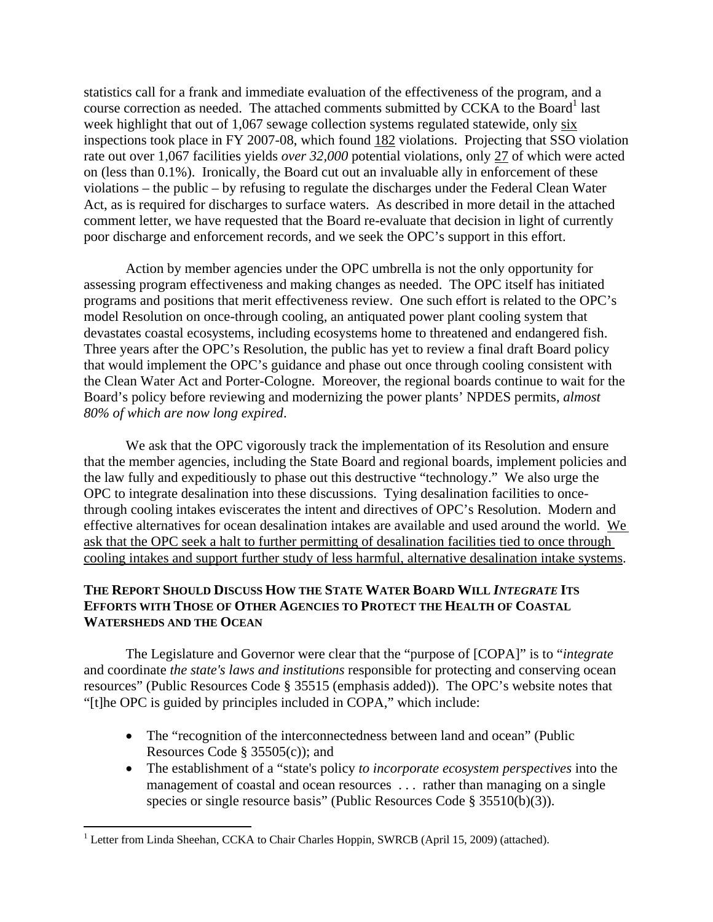statistics call for a frank and immediate evaluation of the effectiveness of the program, and a course correction as needed. The attached comments submitted by CCKA to the Board<sup>1</sup> last week highlight that out of 1,067 sewage collection systems regulated statewide, only six inspections took place in FY 2007-08, which found 182 violations. Projecting that SSO violation rate out over 1,067 facilities yields *over 32,000* potential violations, only 27 of which were acted on (less than 0.1%). Ironically, the Board cut out an invaluable ally in enforcement of these violations – the public – by refusing to regulate the discharges under the Federal Clean Water Act, as is required for discharges to surface waters. As described in more detail in the attached comment letter, we have requested that the Board re-evaluate that decision in light of currently poor discharge and enforcement records, and we seek the OPC's support in this effort.

Action by member agencies under the OPC umbrella is not the only opportunity for assessing program effectiveness and making changes as needed. The OPC itself has initiated programs and positions that merit effectiveness review. One such effort is related to the OPC's model Resolution on once-through cooling, an antiquated power plant cooling system that devastates coastal ecosystems, including ecosystems home to threatened and endangered fish. Three years after the OPC's Resolution, the public has yet to review a final draft Board policy that would implement the OPC's guidance and phase out once through cooling consistent with the Clean Water Act and Porter-Cologne. Moreover, the regional boards continue to wait for the Board's policy before reviewing and modernizing the power plants' NPDES permits, *almost 80% of which are now long expired*.

We ask that the OPC vigorously track the implementation of its Resolution and ensure that the member agencies, including the State Board and regional boards, implement policies and the law fully and expeditiously to phase out this destructive "technology." We also urge the OPC to integrate desalination into these discussions. Tying desalination facilities to oncethrough cooling intakes eviscerates the intent and directives of OPC's Resolution. Modern and effective alternatives for ocean desalination intakes are available and used around the world. We ask that the OPC seek a halt to further permitting of desalination facilities tied to once through cooling intakes and support further study of less harmful, alternative desalination intake systems.

# **THE REPORT SHOULD DISCUSS HOW THE STATE WATER BOARD WILL** *INTEGRATE* **ITS EFFORTS WITH THOSE OF OTHER AGENCIES TO PROTECT THE HEALTH OF COASTAL WATERSHEDS AND THE OCEAN**

The Legislature and Governor were clear that the "purpose of [COPA]" is to "*integrate*  and coordinate *the state's laws and institutions* responsible for protecting and conserving ocean resources" (Public Resources Code § 35515 (emphasis added)). The OPC's website notes that "[t]he OPC is guided by principles included in COPA," which include:

- The "recognition of the interconnectedness between land and ocean" (Public Resources Code § 35505(c)); and
- The establishment of a "state's policy *to incorporate ecosystem perspectives* into the management of coastal and ocean resources . . . rather than managing on a single species or single resource basis" (Public Resources Code § 35510(b)(3)).

 1 Letter from Linda Sheehan, CCKA to Chair Charles Hoppin, SWRCB (April 15, 2009) (attached).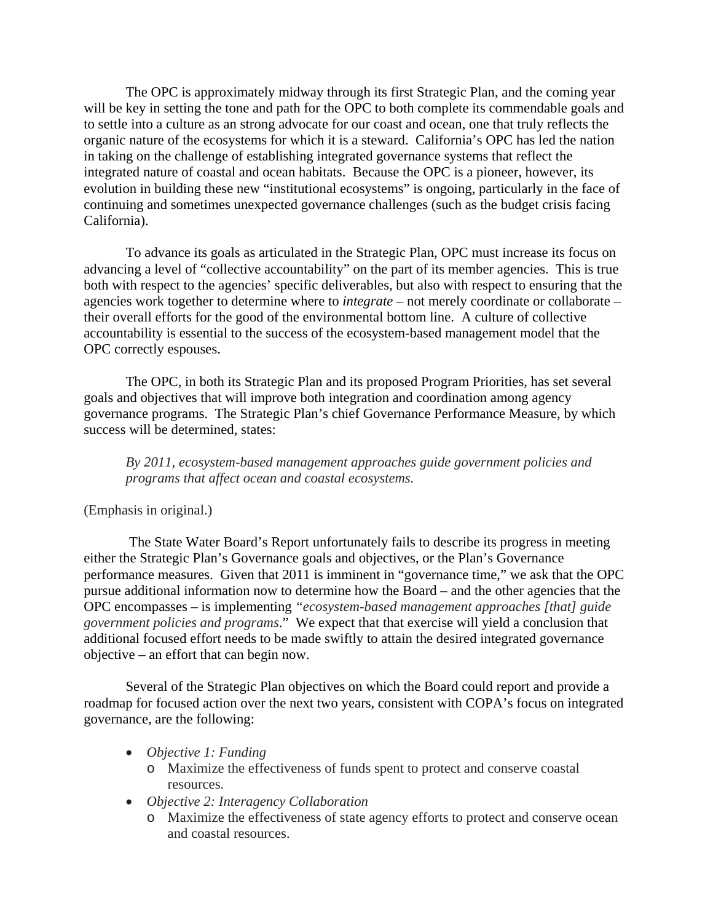The OPC is approximately midway through its first Strategic Plan, and the coming year will be key in setting the tone and path for the OPC to both complete its commendable goals and to settle into a culture as an strong advocate for our coast and ocean, one that truly reflects the organic nature of the ecosystems for which it is a steward. California's OPC has led the nation in taking on the challenge of establishing integrated governance systems that reflect the integrated nature of coastal and ocean habitats. Because the OPC is a pioneer, however, its evolution in building these new "institutional ecosystems" is ongoing, particularly in the face of continuing and sometimes unexpected governance challenges (such as the budget crisis facing California).

To advance its goals as articulated in the Strategic Plan, OPC must increase its focus on advancing a level of "collective accountability" on the part of its member agencies. This is true both with respect to the agencies' specific deliverables, but also with respect to ensuring that the agencies work together to determine where to *integrate* – not merely coordinate or collaborate – their overall efforts for the good of the environmental bottom line. A culture of collective accountability is essential to the success of the ecosystem-based management model that the OPC correctly espouses.

The OPC, in both its Strategic Plan and its proposed Program Priorities, has set several goals and objectives that will improve both integration and coordination among agency governance programs. The Strategic Plan's chief Governance Performance Measure, by which success will be determined, states:

*By 2011, ecosystem-based management approaches guide government policies and programs that affect ocean and coastal ecosystems.* 

(Emphasis in original.)

 The State Water Board's Report unfortunately fails to describe its progress in meeting either the Strategic Plan's Governance goals and objectives, or the Plan's Governance performance measures. Given that 2011 is imminent in "governance time," we ask that the OPC pursue additional information now to determine how the Board – and the other agencies that the OPC encompasses – is implementing *"ecosystem-based management approaches [that] guide government policies and programs*." We expect that that exercise will yield a conclusion that additional focused effort needs to be made swiftly to attain the desired integrated governance objective – an effort that can begin now.

 Several of the Strategic Plan objectives on which the Board could report and provide a roadmap for focused action over the next two years, consistent with COPA's focus on integrated governance, are the following:

- *Objective 1: Funding* 
	- o Maximize the effectiveness of funds spent to protect and conserve coastal resources.
- *Objective 2: Interagency Collaboration* 
	- o Maximize the effectiveness of state agency efforts to protect and conserve ocean and coastal resources.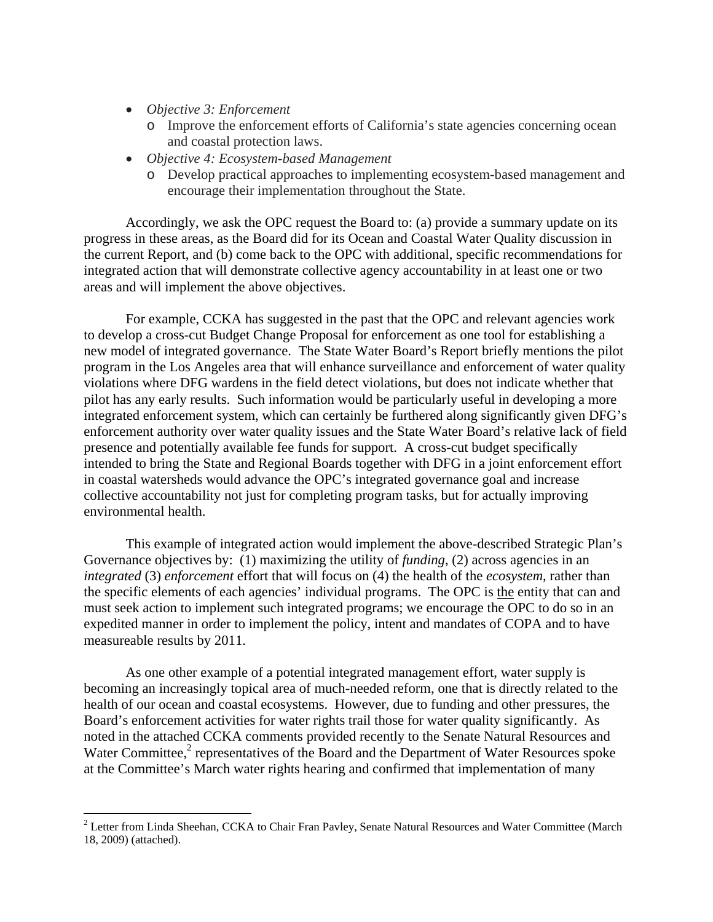• *Objective 3: Enforcement* 

 $\overline{a}$ 

- o Improve the enforcement efforts of California's state agencies concerning ocean and coastal protection laws.
- *Objective 4: Ecosystem-based Management*
	- o Develop practical approaches to implementing ecosystem-based management and encourage their implementation throughout the State.

Accordingly, we ask the OPC request the Board to: (a) provide a summary update on its progress in these areas, as the Board did for its Ocean and Coastal Water Quality discussion in the current Report, and (b) come back to the OPC with additional, specific recommendations for integrated action that will demonstrate collective agency accountability in at least one or two areas and will implement the above objectives.

For example, CCKA has suggested in the past that the OPC and relevant agencies work to develop a cross-cut Budget Change Proposal for enforcement as one tool for establishing a new model of integrated governance. The State Water Board's Report briefly mentions the pilot program in the Los Angeles area that will enhance surveillance and enforcement of water quality violations where DFG wardens in the field detect violations, but does not indicate whether that pilot has any early results. Such information would be particularly useful in developing a more integrated enforcement system, which can certainly be furthered along significantly given DFG's enforcement authority over water quality issues and the State Water Board's relative lack of field presence and potentially available fee funds for support. A cross-cut budget specifically intended to bring the State and Regional Boards together with DFG in a joint enforcement effort in coastal watersheds would advance the OPC's integrated governance goal and increase collective accountability not just for completing program tasks, but for actually improving environmental health.

This example of integrated action would implement the above-described Strategic Plan's Governance objectives by: (1) maximizing the utility of *funding*, (2) across agencies in an *integrated* (3) *enforcement* effort that will focus on (4) the health of the *ecosystem*, rather than the specific elements of each agencies' individual programs. The OPC is the entity that can and must seek action to implement such integrated programs; we encourage the OPC to do so in an expedited manner in order to implement the policy, intent and mandates of COPA and to have measureable results by 2011.

As one other example of a potential integrated management effort, water supply is becoming an increasingly topical area of much-needed reform, one that is directly related to the health of our ocean and coastal ecosystems. However, due to funding and other pressures, the Board's enforcement activities for water rights trail those for water quality significantly. As noted in the attached CCKA comments provided recently to the Senate Natural Resources and Water Committee,<sup>2</sup> representatives of the Board and the Department of Water Resources spoke at the Committee's March water rights hearing and confirmed that implementation of many

 $2^{2}$  Letter from Linda Sheehan, CCKA to Chair Fran Pavley, Senate Natural Resources and Water Committee (March 18, 2009) (attached).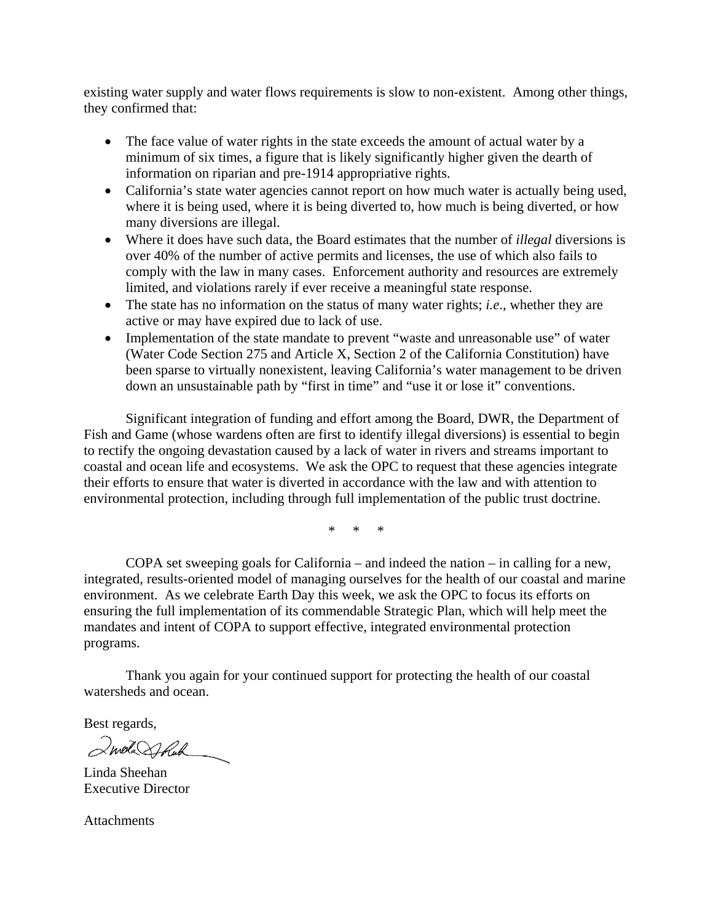existing water supply and water flows requirements is slow to non-existent. Among other things, they confirmed that:

- The face value of water rights in the state exceeds the amount of actual water by a minimum of six times, a figure that is likely significantly higher given the dearth of information on riparian and pre-1914 appropriative rights.
- California's state water agencies cannot report on how much water is actually being used, where it is being used, where it is being diverted to, how much is being diverted, or how many diversions are illegal.
- Where it does have such data, the Board estimates that the number of *illegal* diversions is over 40% of the number of active permits and licenses, the use of which also fails to comply with the law in many cases. Enforcement authority and resources are extremely limited, and violations rarely if ever receive a meaningful state response.
- The state has no information on the status of many water rights; *i.e*., whether they are active or may have expired due to lack of use.
- Implementation of the state mandate to prevent "waste and unreasonable use" of water (Water Code Section 275 and Article X, Section 2 of the California Constitution) have been sparse to virtually nonexistent, leaving California's water management to be driven down an unsustainable path by "first in time" and "use it or lose it" conventions.

Significant integration of funding and effort among the Board, DWR, the Department of Fish and Game (whose wardens often are first to identify illegal diversions) is essential to begin to rectify the ongoing devastation caused by a lack of water in rivers and streams important to coastal and ocean life and ecosystems. We ask the OPC to request that these agencies integrate their efforts to ensure that water is diverted in accordance with the law and with attention to environmental protection, including through full implementation of the public trust doctrine.

\* \* \*

COPA set sweeping goals for California – and indeed the nation – in calling for a new, integrated, results-oriented model of managing ourselves for the health of our coastal and marine environment. As we celebrate Earth Day this week, we ask the OPC to focus its efforts on ensuring the full implementation of its commendable Strategic Plan, which will help meet the mandates and intent of COPA to support effective, integrated environmental protection programs.

Thank you again for your continued support for protecting the health of our coastal watersheds and ocean.

Best regards,

Inda Shuh

Linda Sheehan Executive Director

**Attachments**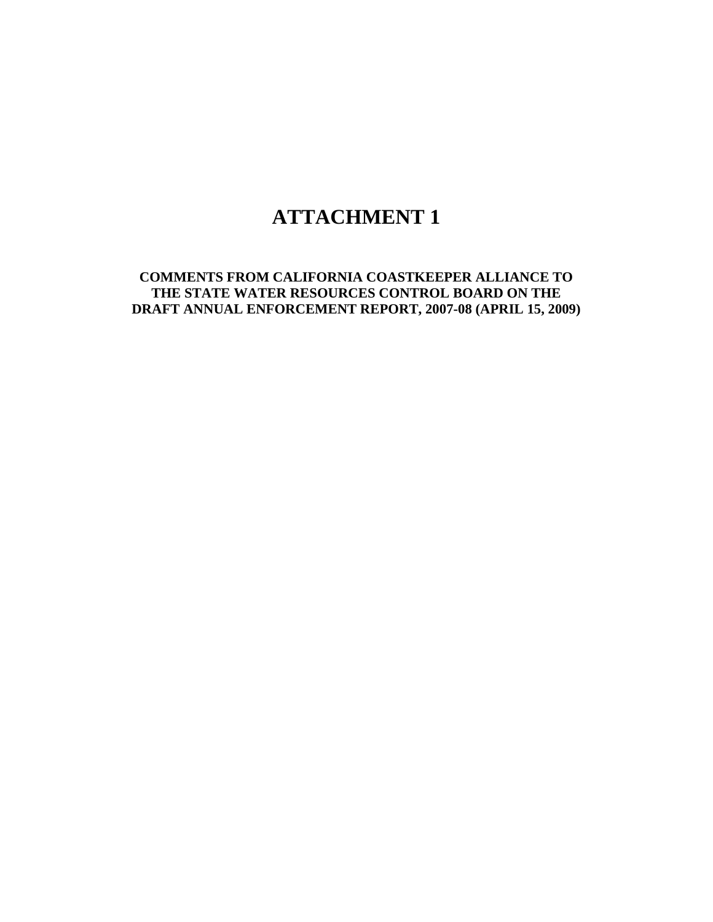# **ATTACHMENT 1**

**COMMENTS FROM CALIFORNIA COASTKEEPER ALLIANCE TO THE STATE WATER RESOURCES CONTROL BOARD ON THE DRAFT ANNUAL ENFORCEMENT REPORT, 2007-08 (APRIL 15, 2009)**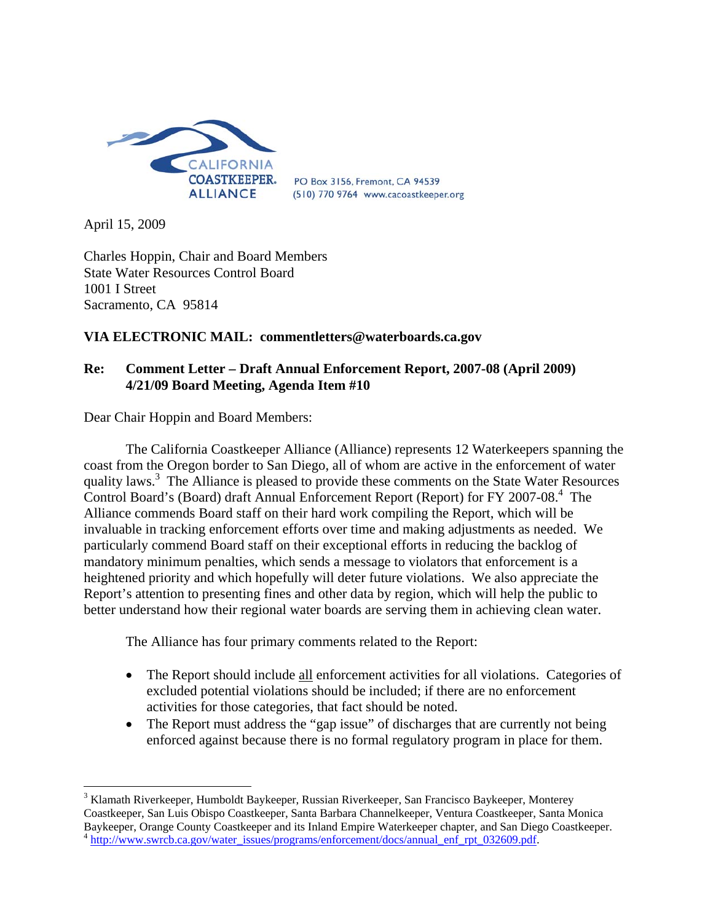

PO Box 3156, Fremont, CA 94539 (510) 770 9764 www.cacoastkeeper.org

April 15, 2009

Charles Hoppin, Chair and Board Members State Water Resources Control Board 1001 I Street Sacramento, CA 95814

# **VIA ELECTRONIC MAIL: commentletters@waterboards.ca.gov**

# **Re: Comment Letter – Draft Annual Enforcement Report, 2007-08 (April 2009) 4/21/09 Board Meeting, Agenda Item #10**

Dear Chair Hoppin and Board Members:

 The California Coastkeeper Alliance (Alliance) represents 12 Waterkeepers spanning the coast from the Oregon border to San Diego, all of whom are active in the enforcement of water quality laws.<sup>3</sup> The Alliance is pleased to provide these comments on the State Water Resources Control Board's (Board) draft Annual Enforcement Report (Report) for FY 2007-08.<sup>4</sup> The Alliance commends Board staff on their hard work compiling the Report, which will be invaluable in tracking enforcement efforts over time and making adjustments as needed. We particularly commend Board staff on their exceptional efforts in reducing the backlog of mandatory minimum penalties, which sends a message to violators that enforcement is a heightened priority and which hopefully will deter future violations. We also appreciate the Report's attention to presenting fines and other data by region, which will help the public to better understand how their regional water boards are serving them in achieving clean water.

The Alliance has four primary comments related to the Report:

- The Report should include all enforcement activities for all violations. Categories of excluded potential violations should be included; if there are no enforcement activities for those categories, that fact should be noted.
- The Report must address the "gap issue" of discharges that are currently not being enforced against because there is no formal regulatory program in place for them.

 $\overline{a}$ <sup>3</sup> Klamath Riverkeeper, Humboldt Baykeeper, Russian Riverkeeper, San Francisco Baykeeper, Monterey Coastkeeper, San Luis Obispo Coastkeeper, Santa Barbara Channelkeeper, Ventura Coastkeeper, Santa Monica Baykeeper, Orange County Coastkeeper and its Inland Empire Waterkeeper chapter, and San Diego Coastkeeper.<br><sup>4</sup> http://www.swrcb.ca.gov/water\_issues/programs/enforcement/docs/annual\_enf\_rpt\_032609.pdf.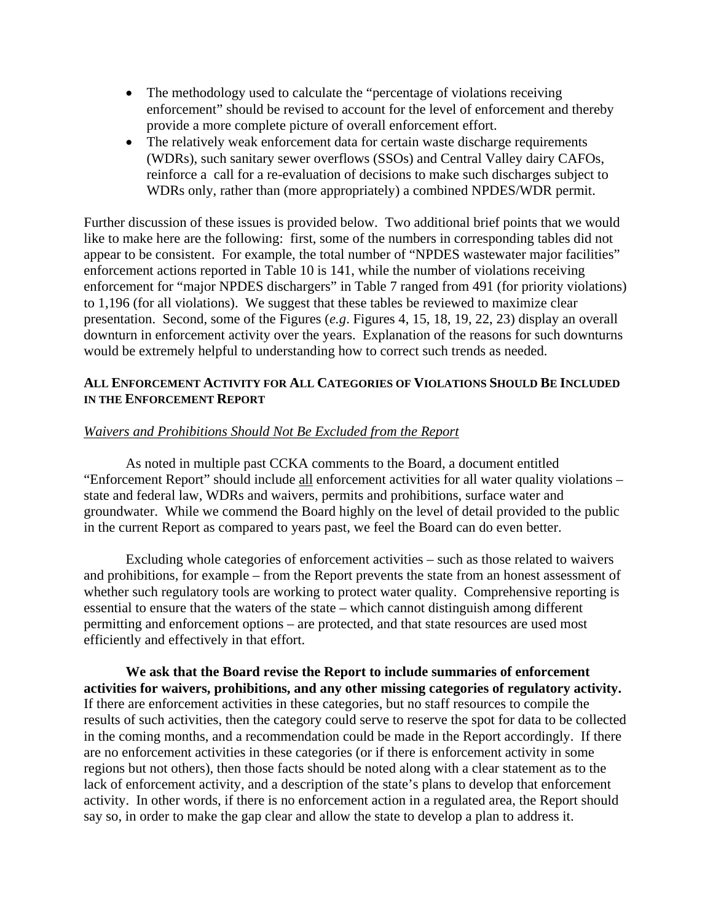- The methodology used to calculate the "percentage of violations receiving enforcement" should be revised to account for the level of enforcement and thereby provide a more complete picture of overall enforcement effort.
- The relatively weak enforcement data for certain waste discharge requirements (WDRs), such sanitary sewer overflows (SSOs) and Central Valley dairy CAFOs, reinforce a call for a re-evaluation of decisions to make such discharges subject to WDRs only, rather than (more appropriately) a combined NPDES/WDR permit.

Further discussion of these issues is provided below. Two additional brief points that we would like to make here are the following: first, some of the numbers in corresponding tables did not appear to be consistent. For example, the total number of "NPDES wastewater major facilities" enforcement actions reported in Table 10 is 141, while the number of violations receiving enforcement for "major NPDES dischargers" in Table 7 ranged from 491 (for priority violations) to 1,196 (for all violations). We suggest that these tables be reviewed to maximize clear presentation. Second, some of the Figures (*e.g*. Figures 4, 15, 18, 19, 22, 23) display an overall downturn in enforcement activity over the years. Explanation of the reasons for such downturns would be extremely helpful to understanding how to correct such trends as needed.

#### **ALL ENFORCEMENT ACTIVITY FOR ALL CATEGORIES OF VIOLATIONS SHOULD BE INCLUDED IN THE ENFORCEMENT REPORT**

#### *Waivers and Prohibitions Should Not Be Excluded from the Report*

As noted in multiple past CCKA comments to the Board, a document entitled "Enforcement Report" should include all enforcement activities for all water quality violations – state and federal law, WDRs and waivers, permits and prohibitions, surface water and groundwater. While we commend the Board highly on the level of detail provided to the public in the current Report as compared to years past, we feel the Board can do even better.

Excluding whole categories of enforcement activities – such as those related to waivers and prohibitions, for example – from the Report prevents the state from an honest assessment of whether such regulatory tools are working to protect water quality. Comprehensive reporting is essential to ensure that the waters of the state – which cannot distinguish among different permitting and enforcement options – are protected, and that state resources are used most efficiently and effectively in that effort.

**We ask that the Board revise the Report to include summaries of enforcement activities for waivers, prohibitions, and any other missing categories of regulatory activity.** If there are enforcement activities in these categories, but no staff resources to compile the results of such activities, then the category could serve to reserve the spot for data to be collected in the coming months, and a recommendation could be made in the Report accordingly. If there are no enforcement activities in these categories (or if there is enforcement activity in some regions but not others), then those facts should be noted along with a clear statement as to the lack of enforcement activity, and a description of the state's plans to develop that enforcement activity. In other words, if there is no enforcement action in a regulated area, the Report should say so, in order to make the gap clear and allow the state to develop a plan to address it.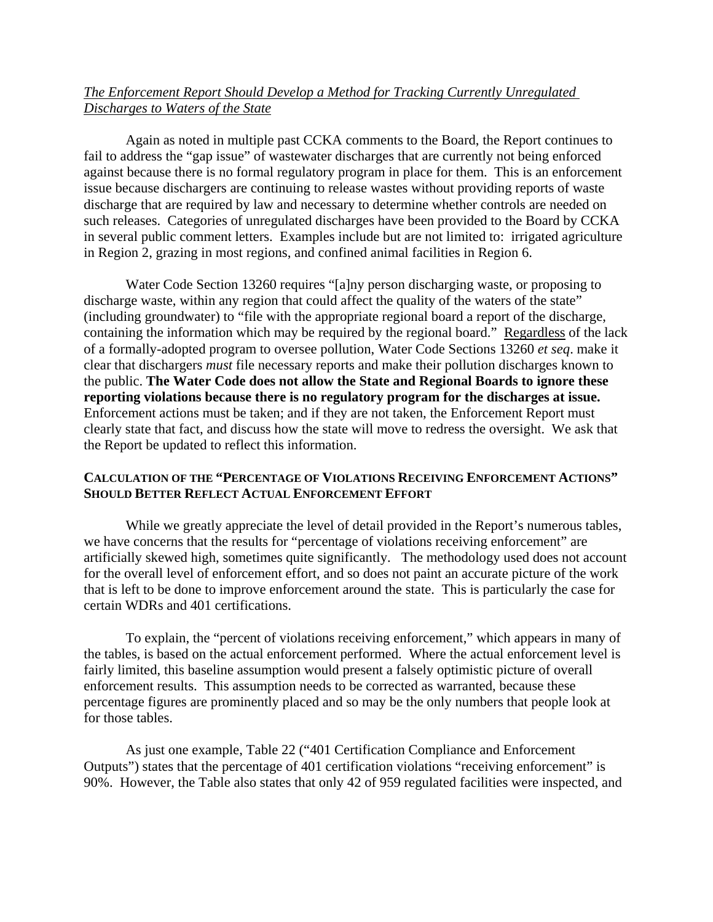# *The Enforcement Report Should Develop a Method for Tracking Currently Unregulated Discharges to Waters of the State*

Again as noted in multiple past CCKA comments to the Board, the Report continues to fail to address the "gap issue" of wastewater discharges that are currently not being enforced against because there is no formal regulatory program in place for them. This is an enforcement issue because dischargers are continuing to release wastes without providing reports of waste discharge that are required by law and necessary to determine whether controls are needed on such releases. Categories of unregulated discharges have been provided to the Board by CCKA in several public comment letters. Examples include but are not limited to: irrigated agriculture in Region 2, grazing in most regions, and confined animal facilities in Region 6.

Water Code Section 13260 requires "[a]ny person discharging waste, or proposing to discharge waste, within any region that could affect the quality of the waters of the state" (including groundwater) to "file with the appropriate regional board a report of the discharge, containing the information which may be required by the regional board." Regardless of the lack of a formally-adopted program to oversee pollution, Water Code Sections 13260 *et seq*. make it clear that dischargers *must* file necessary reports and make their pollution discharges known to the public. **The Water Code does not allow the State and Regional Boards to ignore these reporting violations because there is no regulatory program for the discharges at issue.** Enforcement actions must be taken; and if they are not taken, the Enforcement Report must clearly state that fact, and discuss how the state will move to redress the oversight. We ask that the Report be updated to reflect this information.

#### **CALCULATION OF THE "PERCENTAGE OF VIOLATIONS RECEIVING ENFORCEMENT ACTIONS" SHOULD BETTER REFLECT ACTUAL ENFORCEMENT EFFORT**

While we greatly appreciate the level of detail provided in the Report's numerous tables, we have concerns that the results for "percentage of violations receiving enforcement" are artificially skewed high, sometimes quite significantly. The methodology used does not account for the overall level of enforcement effort, and so does not paint an accurate picture of the work that is left to be done to improve enforcement around the state. This is particularly the case for certain WDRs and 401 certifications.

To explain, the "percent of violations receiving enforcement," which appears in many of the tables, is based on the actual enforcement performed. Where the actual enforcement level is fairly limited, this baseline assumption would present a falsely optimistic picture of overall enforcement results. This assumption needs to be corrected as warranted, because these percentage figures are prominently placed and so may be the only numbers that people look at for those tables.

As just one example, Table 22 ("401 Certification Compliance and Enforcement Outputs") states that the percentage of 401 certification violations "receiving enforcement" is 90%. However, the Table also states that only 42 of 959 regulated facilities were inspected, and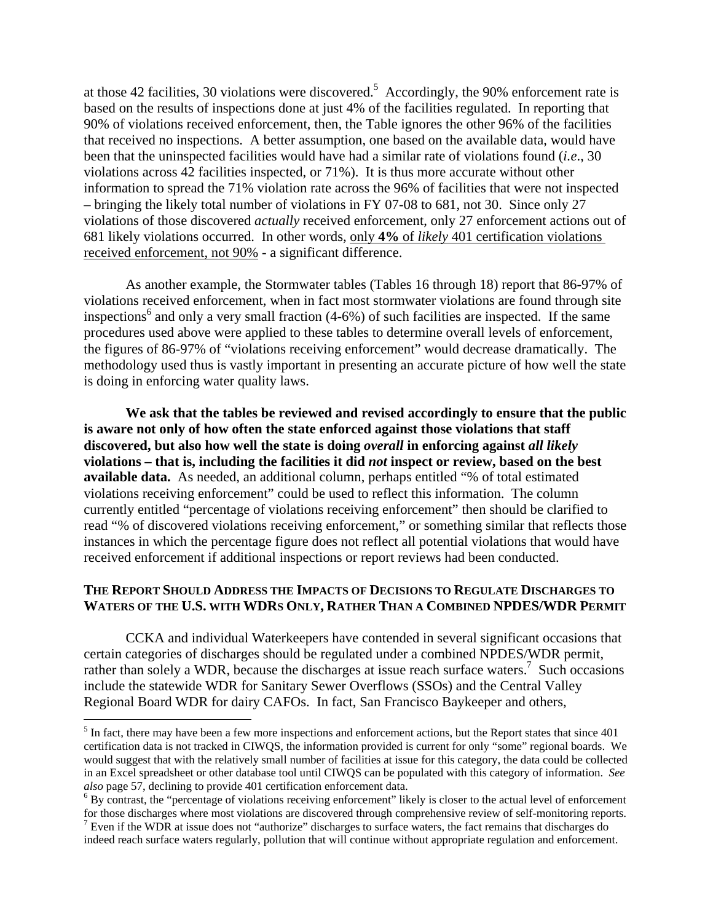at those 42 facilities, 30 violations were discovered.<sup>5</sup> Accordingly, the 90% enforcement rate is based on the results of inspections done at just 4% of the facilities regulated. In reporting that 90% of violations received enforcement, then, the Table ignores the other 96% of the facilities that received no inspections. A better assumption, one based on the available data, would have been that the uninspected facilities would have had a similar rate of violations found (*i.e*., 30 violations across 42 facilities inspected, or 71%). It is thus more accurate without other information to spread the 71% violation rate across the 96% of facilities that were not inspected – bringing the likely total number of violations in FY 07-08 to 681, not 30. Since only 27 violations of those discovered *actually* received enforcement, only 27 enforcement actions out of 681 likely violations occurred. In other words, only **4%** of *likely* 401 certification violations received enforcement, not 90% - a significant difference.

As another example, the Stormwater tables (Tables 16 through 18) report that 86-97% of violations received enforcement, when in fact most stormwater violations are found through site inspections<sup>6</sup> and only a very small fraction (4-6%) of such facilities are inspected. If the same procedures used above were applied to these tables to determine overall levels of enforcement, the figures of 86-97% of "violations receiving enforcement" would decrease dramatically. The methodology used thus is vastly important in presenting an accurate picture of how well the state is doing in enforcing water quality laws.

**We ask that the tables be reviewed and revised accordingly to ensure that the public is aware not only of how often the state enforced against those violations that staff discovered, but also how well the state is doing** *overall* **in enforcing against** *all likely* **violations – that is, including the facilities it did** *not* **inspect or review, based on the best available data.** As needed, an additional column, perhaps entitled "% of total estimated violations receiving enforcement" could be used to reflect this information. The column currently entitled "percentage of violations receiving enforcement" then should be clarified to read "% of discovered violations receiving enforcement," or something similar that reflects those instances in which the percentage figure does not reflect all potential violations that would have received enforcement if additional inspections or report reviews had been conducted.

#### **THE REPORT SHOULD ADDRESS THE IMPACTS OF DECISIONS TO REGULATE DISCHARGES TO WATERS OF THE U.S. WITH WDRS ONLY, RATHER THAN A COMBINED NPDES/WDR PERMIT**

CCKA and individual Waterkeepers have contended in several significant occasions that certain categories of discharges should be regulated under a combined NPDES/WDR permit, rather than solely a WDR, because the discharges at issue reach surface waters.<sup>7</sup> Such occasions include the statewide WDR for Sanitary Sewer Overflows (SSOs) and the Central Valley Regional Board WDR for dairy CAFOs. In fact, San Francisco Baykeeper and others,

 $\overline{a}$ 

 $<sup>5</sup>$  In fact, there may have been a few more inspections and enforcement actions, but the Report states that since 401</sup> certification data is not tracked in CIWQS, the information provided is current for only "some" regional boards. We would suggest that with the relatively small number of facilities at issue for this category, the data could be collected in an Excel spreadsheet or other database tool until CIWQS can be populated with this category of information. *See also* page 57, declining to provide 401 certification enforcement data.

<sup>&</sup>lt;sup>6</sup> By contrast, the "percentage of violations receiving enforcement" likely is closer to the actual level of enforcement for those discharges where most violations are discovered through comprehensive review of self-monitoring reports.  $<sup>7</sup>$  Even if the WDR at issue does not "authorize" discharges to surface waters, the fact remains that discharges do</sup>

indeed reach surface waters regularly, pollution that will continue without appropriate regulation and enforcement.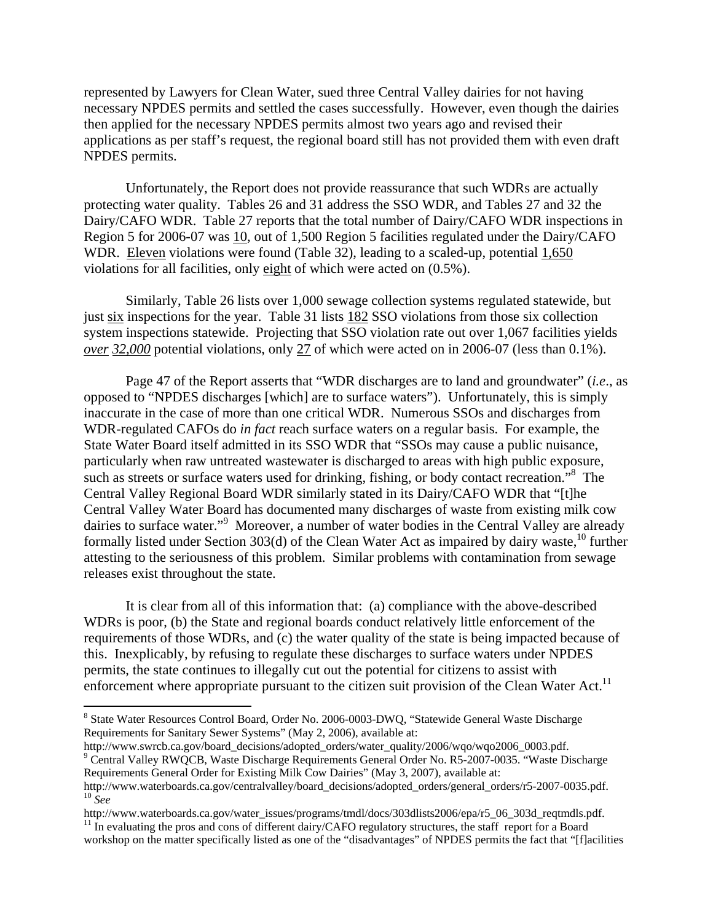represented by Lawyers for Clean Water, sued three Central Valley dairies for not having necessary NPDES permits and settled the cases successfully. However, even though the dairies then applied for the necessary NPDES permits almost two years ago and revised their applications as per staff's request, the regional board still has not provided them with even draft NPDES permits.

Unfortunately, the Report does not provide reassurance that such WDRs are actually protecting water quality. Tables 26 and 31 address the SSO WDR, and Tables 27 and 32 the Dairy/CAFO WDR. Table 27 reports that the total number of Dairy/CAFO WDR inspections in Region 5 for 2006-07 was 10, out of 1,500 Region 5 facilities regulated under the Dairy/CAFO WDR. Eleven violations were found (Table 32), leading to a scaled-up, potential 1,650 violations for all facilities, only eight of which were acted on (0.5%).

Similarly, Table 26 lists over 1,000 sewage collection systems regulated statewide, but just six inspections for the year. Table 31 lists 182 SSO violations from those six collection system inspections statewide. Projecting that SSO violation rate out over 1,067 facilities yields *over 32,000* potential violations, only 27 of which were acted on in 2006-07 (less than 0.1%).

Page 47 of the Report asserts that "WDR discharges are to land and groundwater" (*i.e*., as opposed to "NPDES discharges [which] are to surface waters"). Unfortunately, this is simply inaccurate in the case of more than one critical WDR. Numerous SSOs and discharges from WDR-regulated CAFOs do *in fact* reach surface waters on a regular basis. For example, the State Water Board itself admitted in its SSO WDR that "SSOs may cause a public nuisance, particularly when raw untreated wastewater is discharged to areas with high public exposure, such as streets or surface waters used for drinking, fishing, or body contact recreation.<sup>88</sup> The Central Valley Regional Board WDR similarly stated in its Dairy/CAFO WDR that "[t]he Central Valley Water Board has documented many discharges of waste from existing milk cow dairies to surface water."<sup>9</sup> Moreover, a number of water bodies in the Central Valley are already formally listed under Section  $303(d)$  of the Clean Water Act as impaired by dairy waste,<sup>10</sup> further attesting to the seriousness of this problem. Similar problems with contamination from sewage releases exist throughout the state.

It is clear from all of this information that: (a) compliance with the above-described WDRs is poor, (b) the State and regional boards conduct relatively little enforcement of the requirements of those WDRs, and (c) the water quality of the state is being impacted because of this. Inexplicably, by refusing to regulate these discharges to surface waters under NPDES permits, the state continues to illegally cut out the potential for citizens to assist with enforcement where appropriate pursuant to the citizen suit provision of the Clean Water Act.<sup>11</sup>

http://www.swrcb.ca.gov/board\_decisions/adopted\_orders/water\_quality/2006/wqo/wqo2006\_0003.pdf. Central Valley RWQCB, Waste Discharge Requirements General Order No. R5-2007-0035. "Waste Discharge Requirements General Order for Existing Milk Cow Dairies" (May 3, 2007), available at:

 8 State Water Resources Control Board, Order No. 2006-0003-DWQ, "Statewide General Waste Discharge Requirements for Sanitary Sewer Systems" (May 2, 2006), available at:

http://www.waterboards.ca.gov/centralvalley/board\_decisions/adopted\_orders/general\_orders/r5-2007-0035.pdf.<br>
<sup>10</sup> *See*<br>
http://www.waterboards.ca.gov/water\_issues/programs/tmdl/docs/303dlists2006/epa/r5\_06\_303d\_reqtmdls.p

 $\frac{11}{11}$  In evaluating the pros and cons of different dairy/CAFO regulatory structures, the staff report for a Board

workshop on the matter specifically listed as one of the "disadvantages" of NPDES permits the fact that "[f]acilities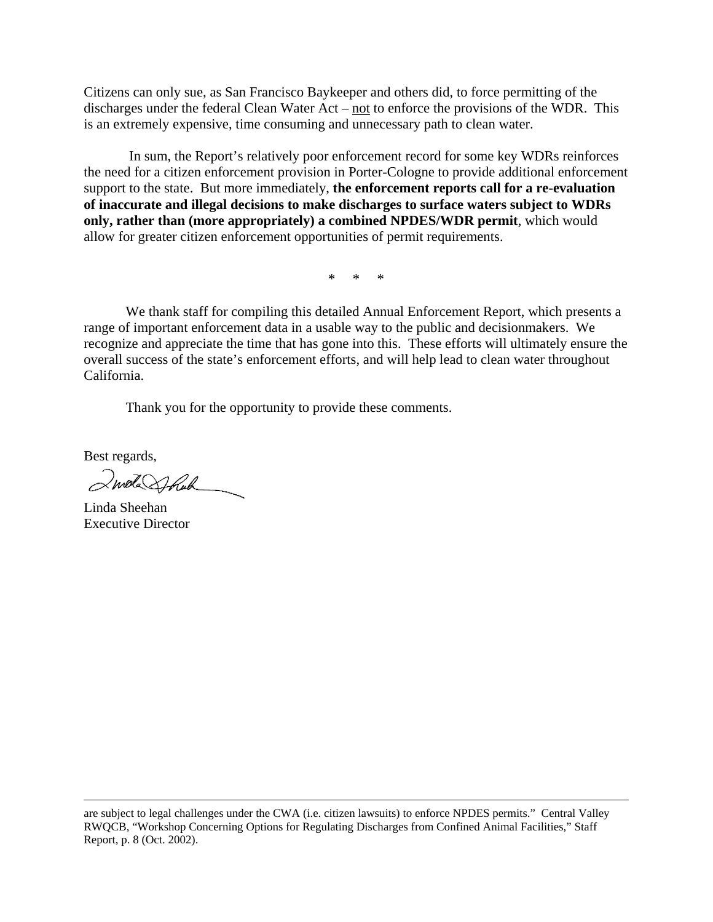Citizens can only sue, as San Francisco Baykeeper and others did, to force permitting of the discharges under the federal Clean Water Act – not to enforce the provisions of the WDR. This is an extremely expensive, time consuming and unnecessary path to clean water.

 In sum, the Report's relatively poor enforcement record for some key WDRs reinforces the need for a citizen enforcement provision in Porter-Cologne to provide additional enforcement support to the state. But more immediately, **the enforcement reports call for a re-evaluation of inaccurate and illegal decisions to make discharges to surface waters subject to WDRs only, rather than (more appropriately) a combined NPDES/WDR permit**, which would allow for greater citizen enforcement opportunities of permit requirements.

\* \* \*

 We thank staff for compiling this detailed Annual Enforcement Report, which presents a range of important enforcement data in a usable way to the public and decisionmakers. We recognize and appreciate the time that has gone into this. These efforts will ultimately ensure the overall success of the state's enforcement efforts, and will help lead to clean water throughout California.

Thank you for the opportunity to provide these comments.

Best regards,

Iwola Shuh

Linda Sheehan Executive Director

 are subject to legal challenges under the CWA (i.e. citizen lawsuits) to enforce NPDES permits." Central Valley RWQCB, "Workshop Concerning Options for Regulating Discharges from Confined Animal Facilities," Staff Report, p. 8 (Oct. 2002).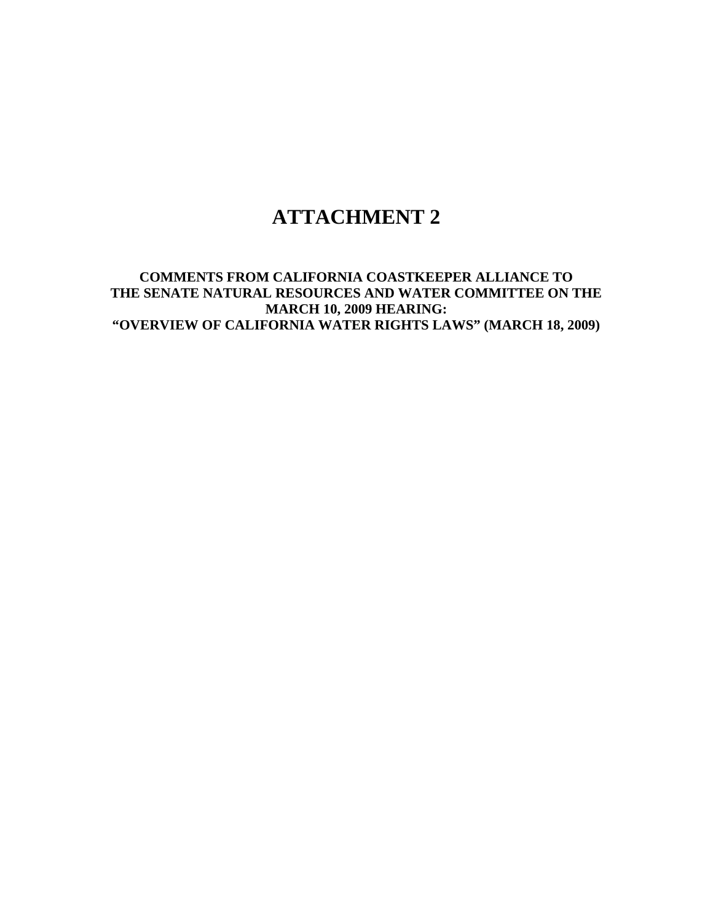# **ATTACHMENT 2**

**COMMENTS FROM CALIFORNIA COASTKEEPER ALLIANCE TO THE SENATE NATURAL RESOURCES AND WATER COMMITTEE ON THE MARCH 10, 2009 HEARING: "OVERVIEW OF CALIFORNIA WATER RIGHTS LAWS" (MARCH 18, 2009)**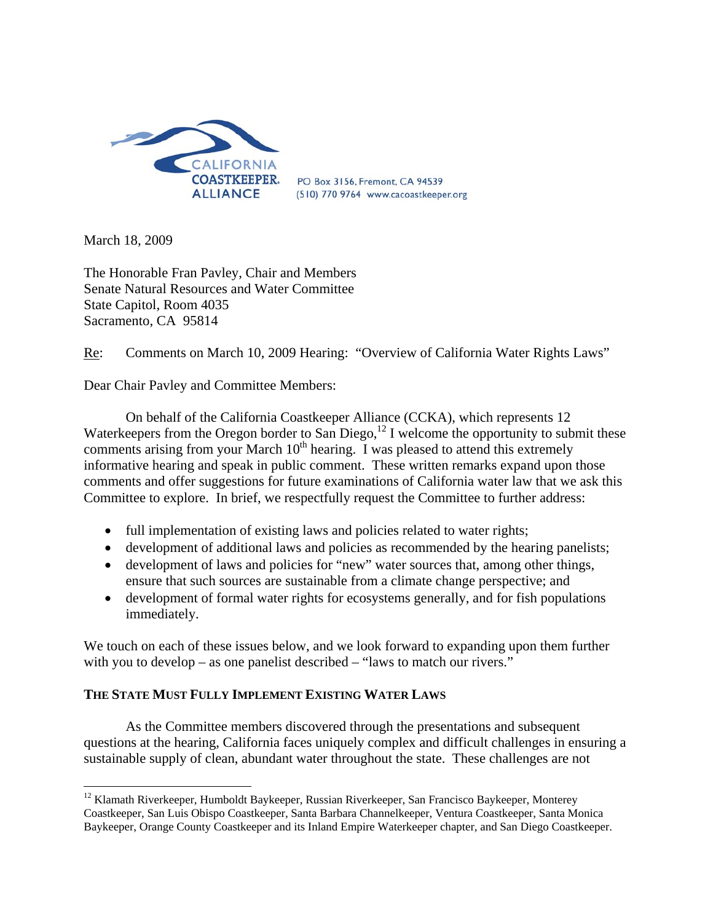

PO Box 3156, Fremont, CA 94539 (510) 770 9764 www.cacoastkeeper.org

March 18, 2009

 $\overline{a}$ 

The Honorable Fran Pavley, Chair and Members Senate Natural Resources and Water Committee State Capitol, Room 4035 Sacramento, CA 95814

Re: Comments on March 10, 2009 Hearing: "Overview of California Water Rights Laws"

Dear Chair Pavley and Committee Members:

 On behalf of the California Coastkeeper Alliance (CCKA), which represents 12 Waterkeepers from the Oregon border to San Diego,<sup>12</sup> I welcome the opportunity to submit these comments arising from your March  $10^{th}$  hearing. I was pleased to attend this extremely informative hearing and speak in public comment. These written remarks expand upon those comments and offer suggestions for future examinations of California water law that we ask this Committee to explore. In brief, we respectfully request the Committee to further address:

- full implementation of existing laws and policies related to water rights;
- development of additional laws and policies as recommended by the hearing panelists;
- development of laws and policies for "new" water sources that, among other things, ensure that such sources are sustainable from a climate change perspective; and
- development of formal water rights for ecosystems generally, and for fish populations immediately.

We touch on each of these issues below, and we look forward to expanding upon them further with you to develop – as one panelist described – "laws to match our rivers."

# **THE STATE MUST FULLY IMPLEMENT EXISTING WATER LAWS**

 As the Committee members discovered through the presentations and subsequent questions at the hearing, California faces uniquely complex and difficult challenges in ensuring a sustainable supply of clean, abundant water throughout the state. These challenges are not

<sup>&</sup>lt;sup>12</sup> Klamath Riverkeeper, Humboldt Baykeeper, Russian Riverkeeper, San Francisco Baykeeper, Monterey Coastkeeper, San Luis Obispo Coastkeeper, Santa Barbara Channelkeeper, Ventura Coastkeeper, Santa Monica Baykeeper, Orange County Coastkeeper and its Inland Empire Waterkeeper chapter, and San Diego Coastkeeper.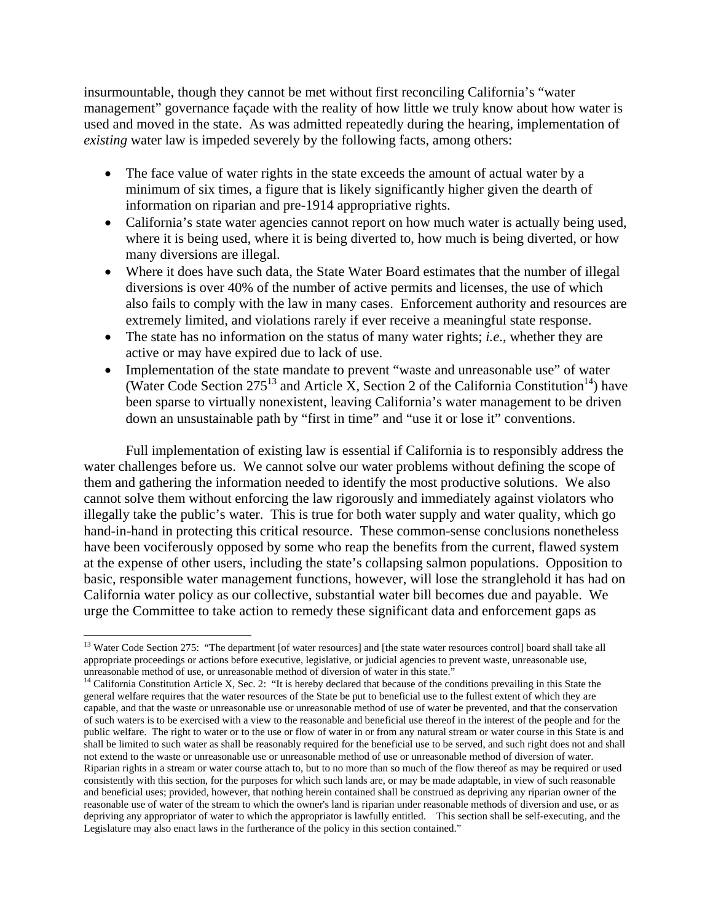insurmountable, though they cannot be met without first reconciling California's "water management" governance façade with the reality of how little we truly know about how water is used and moved in the state. As was admitted repeatedly during the hearing, implementation of *existing* water law is impeded severely by the following facts, among others:

- The face value of water rights in the state exceeds the amount of actual water by a minimum of six times, a figure that is likely significantly higher given the dearth of information on riparian and pre-1914 appropriative rights.
- California's state water agencies cannot report on how much water is actually being used, where it is being used, where it is being diverted to, how much is being diverted, or how many diversions are illegal.
- Where it does have such data, the State Water Board estimates that the number of illegal diversions is over 40% of the number of active permits and licenses, the use of which also fails to comply with the law in many cases. Enforcement authority and resources are extremely limited, and violations rarely if ever receive a meaningful state response.
- The state has no information on the status of many water rights; *i.e.*, whether they are active or may have expired due to lack of use.
- Implementation of the state mandate to prevent "waste and unreasonable use" of water (Water Code Section 275<sup>13</sup> and Article X, Section 2 of the California Constitution<sup>14</sup>) have been sparse to virtually nonexistent, leaving California's water management to be driven down an unsustainable path by "first in time" and "use it or lose it" conventions.

Full implementation of existing law is essential if California is to responsibly address the water challenges before us. We cannot solve our water problems without defining the scope of them and gathering the information needed to identify the most productive solutions. We also cannot solve them without enforcing the law rigorously and immediately against violators who illegally take the public's water. This is true for both water supply and water quality, which go hand-in-hand in protecting this critical resource. These common-sense conclusions nonetheless have been vociferously opposed by some who reap the benefits from the current, flawed system at the expense of other users, including the state's collapsing salmon populations. Opposition to basic, responsible water management functions, however, will lose the stranglehold it has had on California water policy as our collective, substantial water bill becomes due and payable. We urge the Committee to take action to remedy these significant data and enforcement gaps as

 $\overline{a}$ 

<sup>&</sup>lt;sup>13</sup> Water Code Section 275: "The department [of water resources] and [the state water resources control] board shall take all appropriate proceedings or actions before executive, legislative, or judicial agencies to prevent waste, unreasonable use, unreasonable method of use, or unreasonable method of diversion of water in this state."

 $14$  California Constitution Article X, Sec. 2: "It is hereby declared that because of the conditions prevailing in this State the general welfare requires that the water resources of the State be put to beneficial use to the fullest extent of which they are capable, and that the waste or unreasonable use or unreasonable method of use of water be prevented, and that the conservation of such waters is to be exercised with a view to the reasonable and beneficial use thereof in the interest of the people and for the public welfare. The right to water or to the use or flow of water in or from any natural stream or water course in this State is and shall be limited to such water as shall be reasonably required for the beneficial use to be served, and such right does not and shall not extend to the waste or unreasonable use or unreasonable method of use or unreasonable method of diversion of water. Riparian rights in a stream or water course attach to, but to no more than so much of the flow thereof as may be required or used consistently with this section, for the purposes for which such lands are, or may be made adaptable, in view of such reasonable and beneficial uses; provided, however, that nothing herein contained shall be construed as depriving any riparian owner of the reasonable use of water of the stream to which the owner's land is riparian under reasonable methods of diversion and use, or as depriving any appropriator of water to which the appropriator is lawfully entitled. This section shall be self-executing, and the Legislature may also enact laws in the furtherance of the policy in this section contained."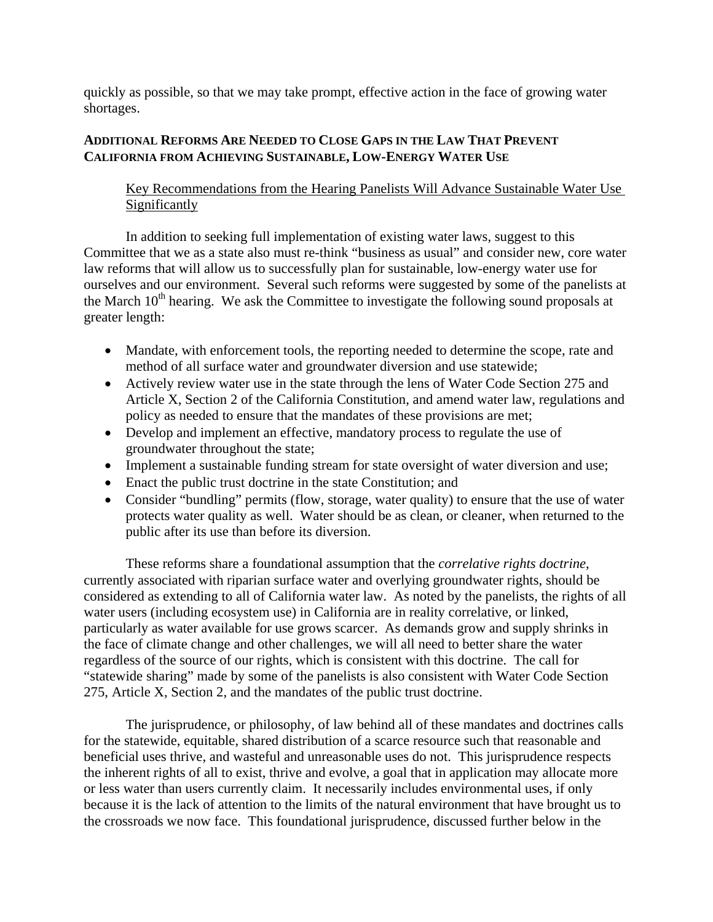quickly as possible, so that we may take prompt, effective action in the face of growing water shortages.

## **ADDITIONAL REFORMS ARE NEEDED TO CLOSE GAPS IN THE LAW THAT PREVENT CALIFORNIA FROM ACHIEVING SUSTAINABLE, LOW-ENERGY WATER USE**

Key Recommendations from the Hearing Panelists Will Advance Sustainable Water Use Significantly

In addition to seeking full implementation of existing water laws, suggest to this Committee that we as a state also must re-think "business as usual" and consider new, core water law reforms that will allow us to successfully plan for sustainable, low-energy water use for ourselves and our environment. Several such reforms were suggested by some of the panelists at the March  $10<sup>th</sup>$  hearing. We ask the Committee to investigate the following sound proposals at greater length:

- Mandate, with enforcement tools, the reporting needed to determine the scope, rate and method of all surface water and groundwater diversion and use statewide;
- Actively review water use in the state through the lens of Water Code Section 275 and Article X, Section 2 of the California Constitution, and amend water law, regulations and policy as needed to ensure that the mandates of these provisions are met;
- Develop and implement an effective, mandatory process to regulate the use of groundwater throughout the state;
- Implement a sustainable funding stream for state oversight of water diversion and use;
- Enact the public trust doctrine in the state Constitution; and
- Consider "bundling" permits (flow, storage, water quality) to ensure that the use of water protects water quality as well. Water should be as clean, or cleaner, when returned to the public after its use than before its diversion.

 These reforms share a foundational assumption that the *correlative rights doctrine*, currently associated with riparian surface water and overlying groundwater rights, should be considered as extending to all of California water law. As noted by the panelists, the rights of all water users (including ecosystem use) in California are in reality correlative, or linked, particularly as water available for use grows scarcer. As demands grow and supply shrinks in the face of climate change and other challenges, we will all need to better share the water regardless of the source of our rights, which is consistent with this doctrine. The call for "statewide sharing" made by some of the panelists is also consistent with Water Code Section 275, Article X, Section 2, and the mandates of the public trust doctrine.

The jurisprudence, or philosophy, of law behind all of these mandates and doctrines calls for the statewide, equitable, shared distribution of a scarce resource such that reasonable and beneficial uses thrive, and wasteful and unreasonable uses do not. This jurisprudence respects the inherent rights of all to exist, thrive and evolve, a goal that in application may allocate more or less water than users currently claim. It necessarily includes environmental uses, if only because it is the lack of attention to the limits of the natural environment that have brought us to the crossroads we now face. This foundational jurisprudence, discussed further below in the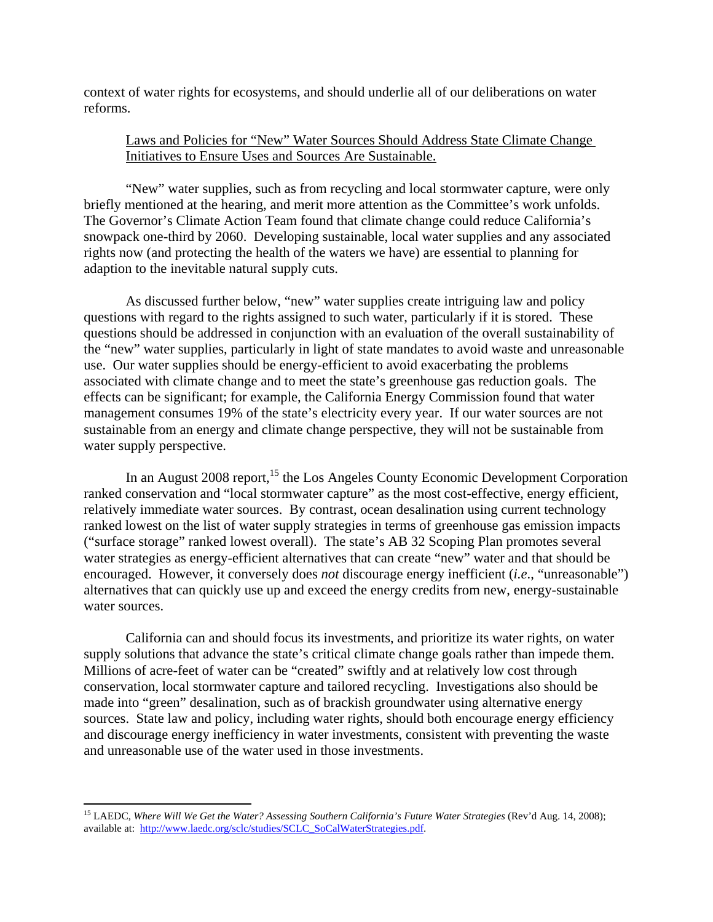context of water rights for ecosystems, and should underlie all of our deliberations on water reforms.

#### Laws and Policies for "New" Water Sources Should Address State Climate Change Initiatives to Ensure Uses and Sources Are Sustainable.

"New" water supplies, such as from recycling and local stormwater capture, were only briefly mentioned at the hearing, and merit more attention as the Committee's work unfolds. The Governor's Climate Action Team found that climate change could reduce California's snowpack one-third by 2060. Developing sustainable, local water supplies and any associated rights now (and protecting the health of the waters we have) are essential to planning for adaption to the inevitable natural supply cuts.

As discussed further below, "new" water supplies create intriguing law and policy questions with regard to the rights assigned to such water, particularly if it is stored. These questions should be addressed in conjunction with an evaluation of the overall sustainability of the "new" water supplies, particularly in light of state mandates to avoid waste and unreasonable use. Our water supplies should be energy-efficient to avoid exacerbating the problems associated with climate change and to meet the state's greenhouse gas reduction goals. The effects can be significant; for example, the California Energy Commission found that water management consumes 19% of the state's electricity every year. If our water sources are not sustainable from an energy and climate change perspective, they will not be sustainable from water supply perspective.

In an August 2008 report,<sup>15</sup> the Los Angeles County Economic Development Corporation ranked conservation and "local stormwater capture" as the most cost-effective, energy efficient, relatively immediate water sources. By contrast, ocean desalination using current technology ranked lowest on the list of water supply strategies in terms of greenhouse gas emission impacts ("surface storage" ranked lowest overall). The state's AB 32 Scoping Plan promotes several water strategies as energy-efficient alternatives that can create "new" water and that should be encouraged. However, it conversely does *not* discourage energy inefficient *(i.e.,* "unreasonable") alternatives that can quickly use up and exceed the energy credits from new, energy-sustainable water sources.

California can and should focus its investments, and prioritize its water rights, on water supply solutions that advance the state's critical climate change goals rather than impede them. Millions of acre-feet of water can be "created" swiftly and at relatively low cost through conservation, local stormwater capture and tailored recycling. Investigations also should be made into "green" desalination, such as of brackish groundwater using alternative energy sources. State law and policy, including water rights, should both encourage energy efficiency and discourage energy inefficiency in water investments, consistent with preventing the waste and unreasonable use of the water used in those investments.

 $\overline{a}$ 15 LAEDC, *Where Will We Get the Water? Assessing Southern California's Future Water Strategies* (Rev'd Aug. 14, 2008); available at: http://www.laedc.org/sclc/studies/SCLC\_SoCalWaterStrategies.pdf.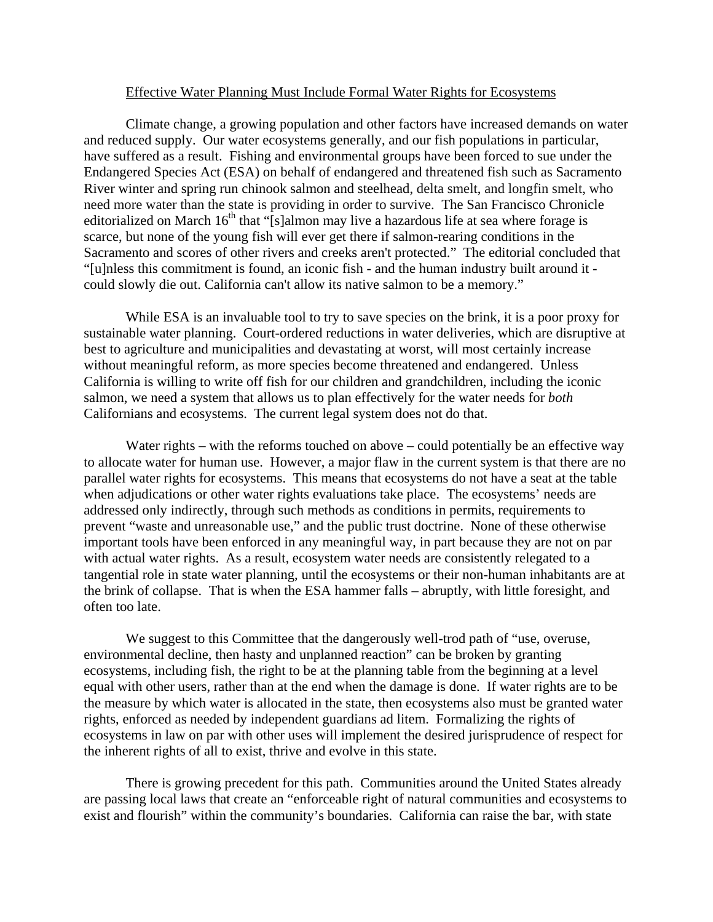#### Effective Water Planning Must Include Formal Water Rights for Ecosystems

 Climate change, a growing population and other factors have increased demands on water and reduced supply. Our water ecosystems generally, and our fish populations in particular, have suffered as a result. Fishing and environmental groups have been forced to sue under the Endangered Species Act (ESA) on behalf of endangered and threatened fish such as Sacramento River winter and spring run chinook salmon and steelhead, delta smelt, and longfin smelt, who need more water than the state is providing in order to survive. The San Francisco Chronicle editorialized on March  $16<sup>th</sup>$  that "[s]almon may live a hazardous life at sea where forage is scarce, but none of the young fish will ever get there if salmon-rearing conditions in the Sacramento and scores of other rivers and creeks aren't protected." The editorial concluded that "[u]nless this commitment is found, an iconic fish - and the human industry built around it could slowly die out. California can't allow its native salmon to be a memory."

While ESA is an invaluable tool to try to save species on the brink, it is a poor proxy for sustainable water planning. Court-ordered reductions in water deliveries, which are disruptive at best to agriculture and municipalities and devastating at worst, will most certainly increase without meaningful reform, as more species become threatened and endangered. Unless California is willing to write off fish for our children and grandchildren, including the iconic salmon, we need a system that allows us to plan effectively for the water needs for *both*  Californians and ecosystems. The current legal system does not do that.

Water rights – with the reforms touched on above – could potentially be an effective way to allocate water for human use. However, a major flaw in the current system is that there are no parallel water rights for ecosystems. This means that ecosystems do not have a seat at the table when adjudications or other water rights evaluations take place. The ecosystems' needs are addressed only indirectly, through such methods as conditions in permits, requirements to prevent "waste and unreasonable use," and the public trust doctrine. None of these otherwise important tools have been enforced in any meaningful way, in part because they are not on par with actual water rights. As a result, ecosystem water needs are consistently relegated to a tangential role in state water planning, until the ecosystems or their non-human inhabitants are at the brink of collapse. That is when the ESA hammer falls – abruptly, with little foresight, and often too late.

We suggest to this Committee that the dangerously well-trod path of "use, overuse, environmental decline, then hasty and unplanned reaction" can be broken by granting ecosystems, including fish, the right to be at the planning table from the beginning at a level equal with other users, rather than at the end when the damage is done. If water rights are to be the measure by which water is allocated in the state, then ecosystems also must be granted water rights, enforced as needed by independent guardians ad litem. Formalizing the rights of ecosystems in law on par with other uses will implement the desired jurisprudence of respect for the inherent rights of all to exist, thrive and evolve in this state.

There is growing precedent for this path. Communities around the United States already are passing local laws that create an "enforceable right of natural communities and ecosystems to exist and flourish" within the community's boundaries. California can raise the bar, with state